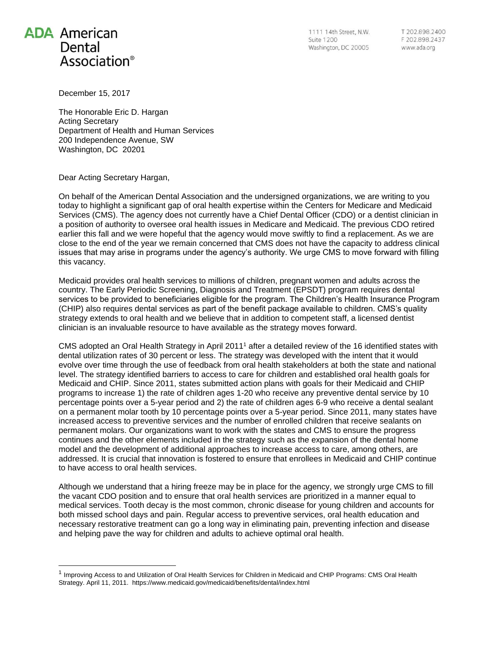## **ADA** American Dental Association<sup>®</sup>

l

1111 14th Street, N.W. Suite 1200 Washington, DC 20005

T 202.898.2400 F 202.898.2437 www.ada.org

December 15, 2017

The Honorable Eric D. Hargan Acting Secretary Department of Health and Human Services 200 Independence Avenue, SW Washington, DC 20201

Dear Acting Secretary Hargan,

On behalf of the American Dental Association and the undersigned organizations, we are writing to you today to highlight a significant gap of oral health expertise within the Centers for Medicare and Medicaid Services (CMS). The agency does not currently have a Chief Dental Officer (CDO) or a dentist clinician in a position of authority to oversee oral health issues in Medicare and Medicaid. The previous CDO retired earlier this fall and we were hopeful that the agency would move swiftly to find a replacement. As we are close to the end of the year we remain concerned that CMS does not have the capacity to address clinical issues that may arise in programs under the agency's authority. We urge CMS to move forward with filling this vacancy.

Medicaid provides oral health services to millions of children, pregnant women and adults across the country. The Early Periodic Screening, Diagnosis and Treatment (EPSDT) program requires dental services to be provided to beneficiaries eligible for the program. The Children's Health Insurance Program (CHIP) also requires dental services as part of the benefit package available to children. CMS's quality strategy extends to oral health and we believe that in addition to competent staff, a licensed dentist clinician is an invaluable resource to have available as the strategy moves forward.

CMS adopted an Oral Health Strategy in April 2011<sup>1</sup> after a detailed review of the 16 identified states with dental utilization rates of 30 percent or less. The strategy was developed with the intent that it would evolve over time through the use of feedback from oral health stakeholders at both the state and national level. The strategy identified barriers to access to care for children and established oral health goals for Medicaid and CHIP. Since 2011, states submitted action plans with goals for their Medicaid and CHIP programs to increase 1) the rate of children ages 1-20 who receive any preventive dental service by 10 percentage points over a 5-year period and 2) the rate of children ages 6-9 who receive a dental sealant on a permanent molar tooth by 10 percentage points over a 5-year period. Since 2011, many states have increased access to preventive services and the number of enrolled children that receive sealants on permanent molars. Our organizations want to work with the states and CMS to ensure the progress continues and the other elements included in the strategy such as the expansion of the dental home model and the development of additional approaches to increase access to care, among others, are addressed. It is crucial that innovation is fostered to ensure that enrollees in Medicaid and CHIP continue to have access to oral health services.

Although we understand that a hiring freeze may be in place for the agency, we strongly urge CMS to fill the vacant CDO position and to ensure that oral health services are prioritized in a manner equal to medical services. Tooth decay is the most common, chronic disease for young children and accounts for both missed school days and pain. Regular access to preventive services, oral health education and necessary restorative treatment can go a long way in eliminating pain, preventing infection and disease and helping pave the way for children and adults to achieve optimal oral health.

<sup>&</sup>lt;sup>1</sup> Improving Access to and Utilization of Oral Health Services for Children in Medicaid and CHIP Programs: CMS Oral Health Strategy. April 11, 2011. https://www.medicaid.gov/medicaid/benefits/dental/index.html